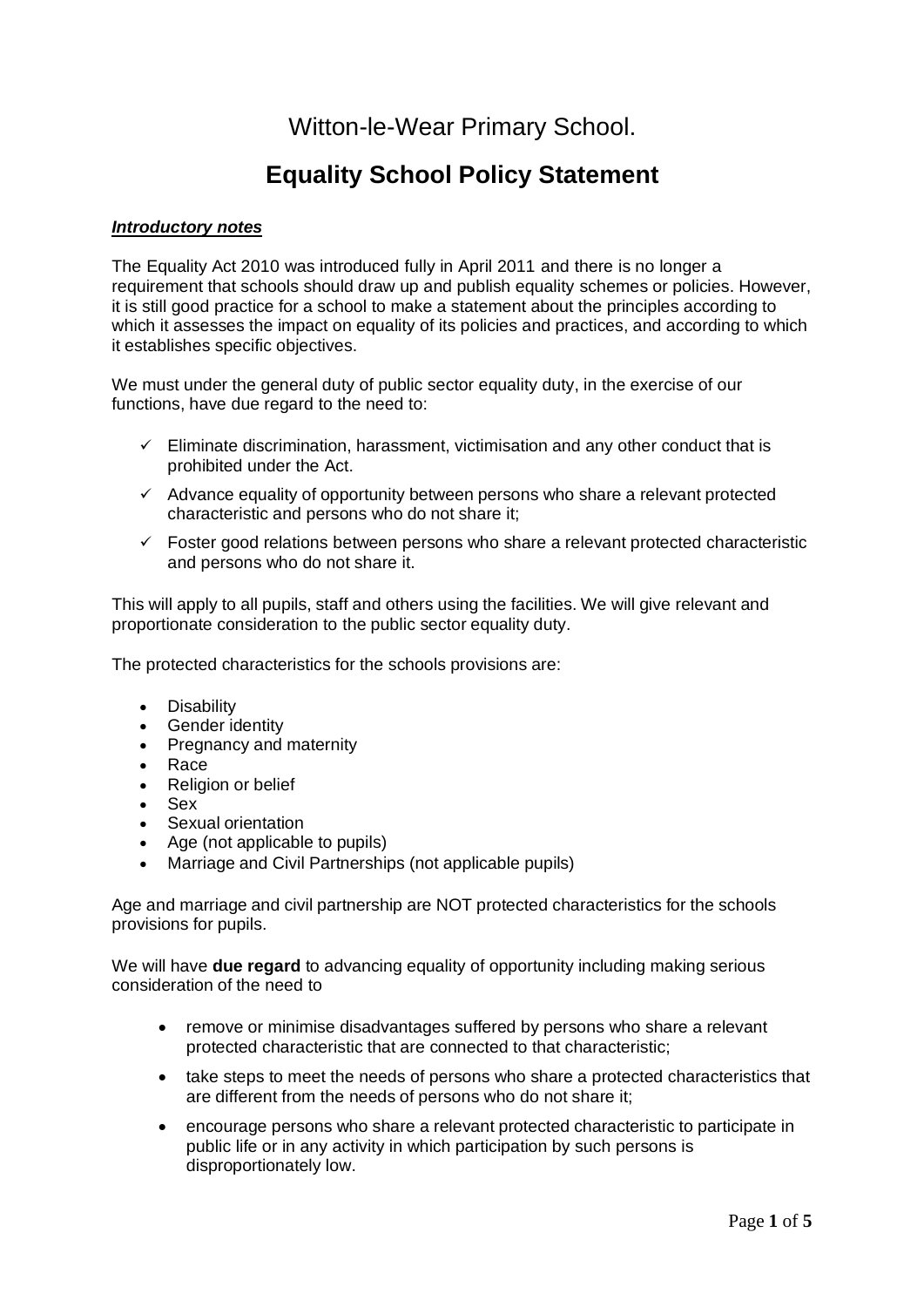# Witton-le-Wear Primary School.

# **Equality School Policy Statement**

# *Introductory notes*

The Equality Act 2010 was introduced fully in April 2011 and there is no longer a requirement that schools should draw up and publish equality schemes or policies. However, it is still good practice for a school to make a statement about the principles according to which it assesses the impact on equality of its policies and practices, and according to which it establishes specific objectives.

We must under the general duty of public sector equality duty, in the exercise of our functions, have due regard to the need to:

- $\checkmark$  Eliminate discrimination, harassment, victimisation and any other conduct that is prohibited under the Act.
- $\checkmark$  Advance equality of opportunity between persons who share a relevant protected characteristic and persons who do not share it;
- $\checkmark$  Foster good relations between persons who share a relevant protected characteristic and persons who do not share it.

This will apply to all pupils, staff and others using the facilities. We will give relevant and proportionate consideration to the public sector equality duty.

The protected characteristics for the schools provisions are:

- Disability
- Gender identity
- Pregnancy and maternity
- Race
- Religion or belief
- Sex
- Sexual orientation
- Age (not applicable to pupils)
- Marriage and Civil Partnerships (not applicable pupils)

Age and marriage and civil partnership are NOT protected characteristics for the schools provisions for pupils.

We will have **due regard** to advancing equality of opportunity including making serious consideration of the need to

- remove or minimise disadvantages suffered by persons who share a relevant protected characteristic that are connected to that characteristic;
- take steps to meet the needs of persons who share a protected characteristics that are different from the needs of persons who do not share it;
- encourage persons who share a relevant protected characteristic to participate in public life or in any activity in which participation by such persons is disproportionately low.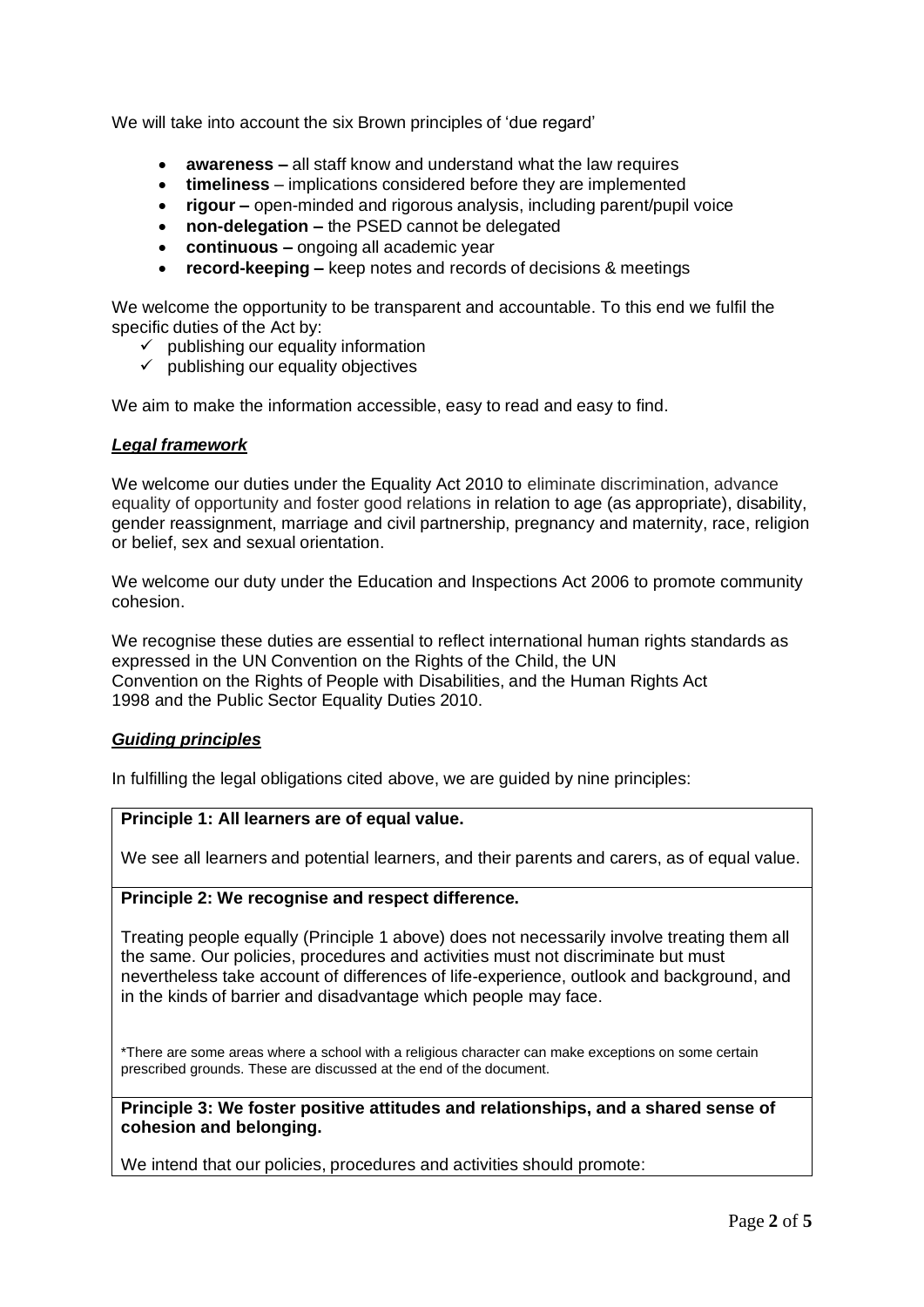We will take into account the six Brown principles of 'due regard'

- **awareness** all staff know and understand what the law requires
- **timeliness** implications considered before they are implemented
- **rigour –** open-minded and rigorous analysis, including parent/pupil voice
- **non-delegation –** the PSED cannot be delegated
- **continuous –** ongoing all academic year
- **record-keeping –** keep notes and records of decisions & meetings

We welcome the opportunity to be transparent and accountable. To this end we fulfil the specific duties of the Act by:

- $\checkmark$  publishing our equality information
- $\checkmark$  publishing our equality objectives

We aim to make the information accessible, easy to read and easy to find.

## *Legal framework*

We welcome our duties under the Equality Act 2010 to eliminate discrimination, advance equality of opportunity and foster good relations in relation to age (as appropriate), disability, gender reassignment, marriage and civil partnership, pregnancy and maternity, race, religion or belief, sex and sexual orientation.

We welcome our duty under the Education and Inspections Act 2006 to promote community cohesion.

We recognise these duties are essential to reflect international human rights standards as expressed in the UN Convention on the Rights of the Child, the UN Convention on the Rights of People with Disabilities, and the Human Rights Act 1998 and the Public Sector Equality Duties 2010.

# *Guiding principles*

In fulfilling the legal obligations cited above, we are guided by nine principles:

## **Principle 1: All learners are of equal value.**

We see all learners and potential learners, and their parents and carers, as of equal value.

# **Principle 2: We recognise and respect difference.**

Treating people equally (Principle 1 above) does not necessarily involve treating them all the same. Our policies, procedures and activities must not discriminate but must nevertheless take account of differences of life-experience, outlook and background, and in the kinds of barrier and disadvantage which people may face.

\*There are some areas where a school with a religious character can make exceptions on some certain prescribed grounds. These are discussed at the end of the document.

**Principle 3: We foster positive attitudes and relationships, and a shared sense of cohesion and belonging.**

We intend that our policies, procedures and activities should promote: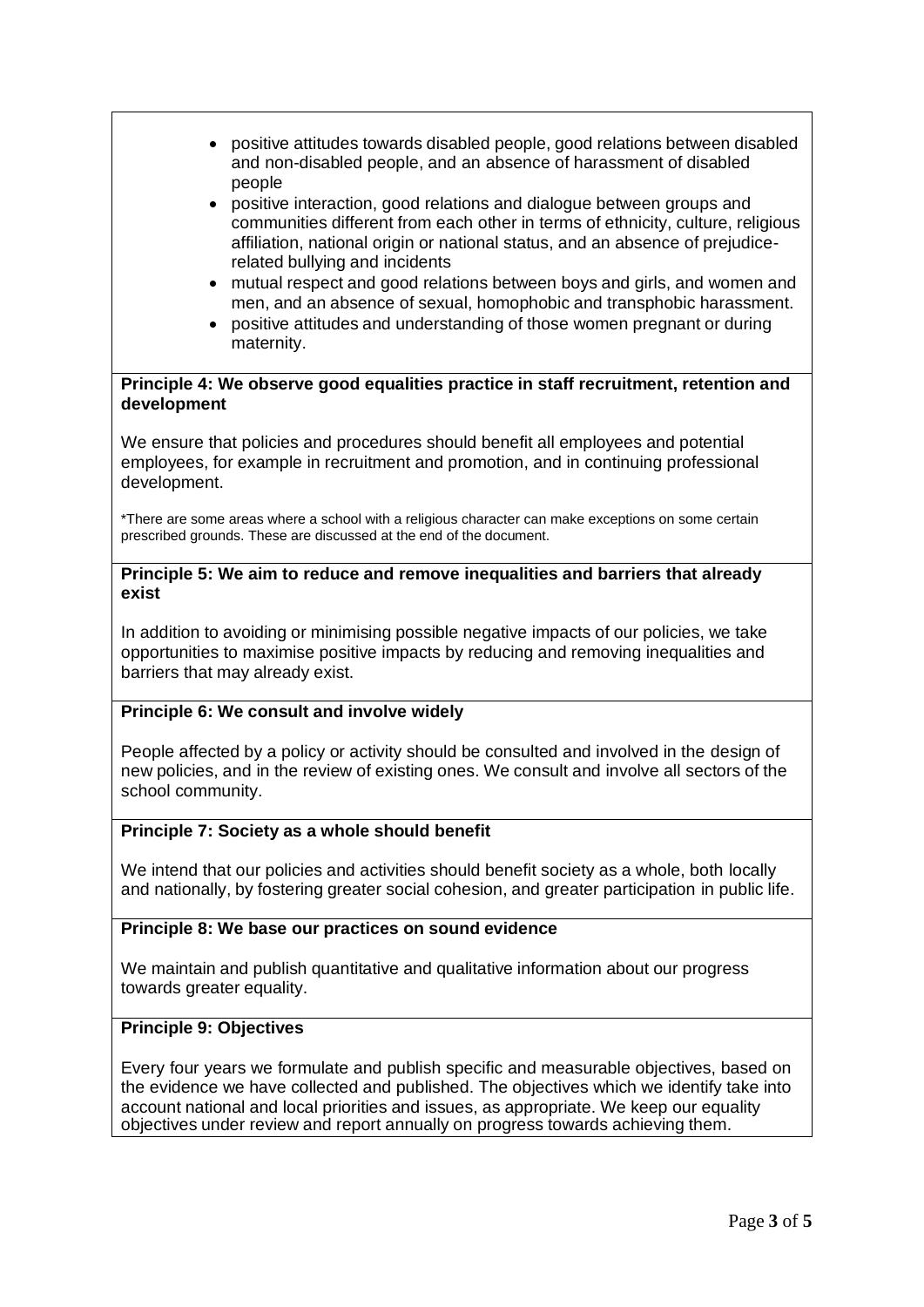- positive attitudes towards disabled people, good relations between disabled and non-disabled people, and an absence of harassment of disabled people
- positive interaction, good relations and dialogue between groups and communities different from each other in terms of ethnicity, culture, religious affiliation, national origin or national status, and an absence of prejudicerelated bullying and incidents
- mutual respect and good relations between boys and girls, and women and men, and an absence of sexual, homophobic and transphobic harassment.
- positive attitudes and understanding of those women pregnant or during maternity.

## **Principle 4: We observe good equalities practice in staff recruitment, retention and development**

We ensure that policies and procedures should benefit all employees and potential employees, for example in recruitment and promotion, and in continuing professional development.

\*There are some areas where a school with a religious character can make exceptions on some certain prescribed grounds. These are discussed at the end of the document.

## **Principle 5: We aim to reduce and remove inequalities and barriers that already exist**

In addition to avoiding or minimising possible negative impacts of our policies, we take opportunities to maximise positive impacts by reducing and removing inequalities and barriers that may already exist.

# **Principle 6: We consult and involve widely**

People affected by a policy or activity should be consulted and involved in the design of new policies, and in the review of existing ones. We consult and involve all sectors of the school community.

# **Principle 7: Society as a whole should benefit**

We intend that our policies and activities should benefit society as a whole, both locally and nationally, by fostering greater social cohesion, and greater participation in public life.

# **Principle 8: We base our practices on sound evidence**

We maintain and publish quantitative and qualitative information about our progress towards greater equality.

# **Principle 9: Objectives**

Every four years we formulate and publish specific and measurable objectives, based on the evidence we have collected and published. The objectives which we identify take into account national and local priorities and issues, as appropriate. We keep our equality objectives under review and report annually on progress towards achieving them.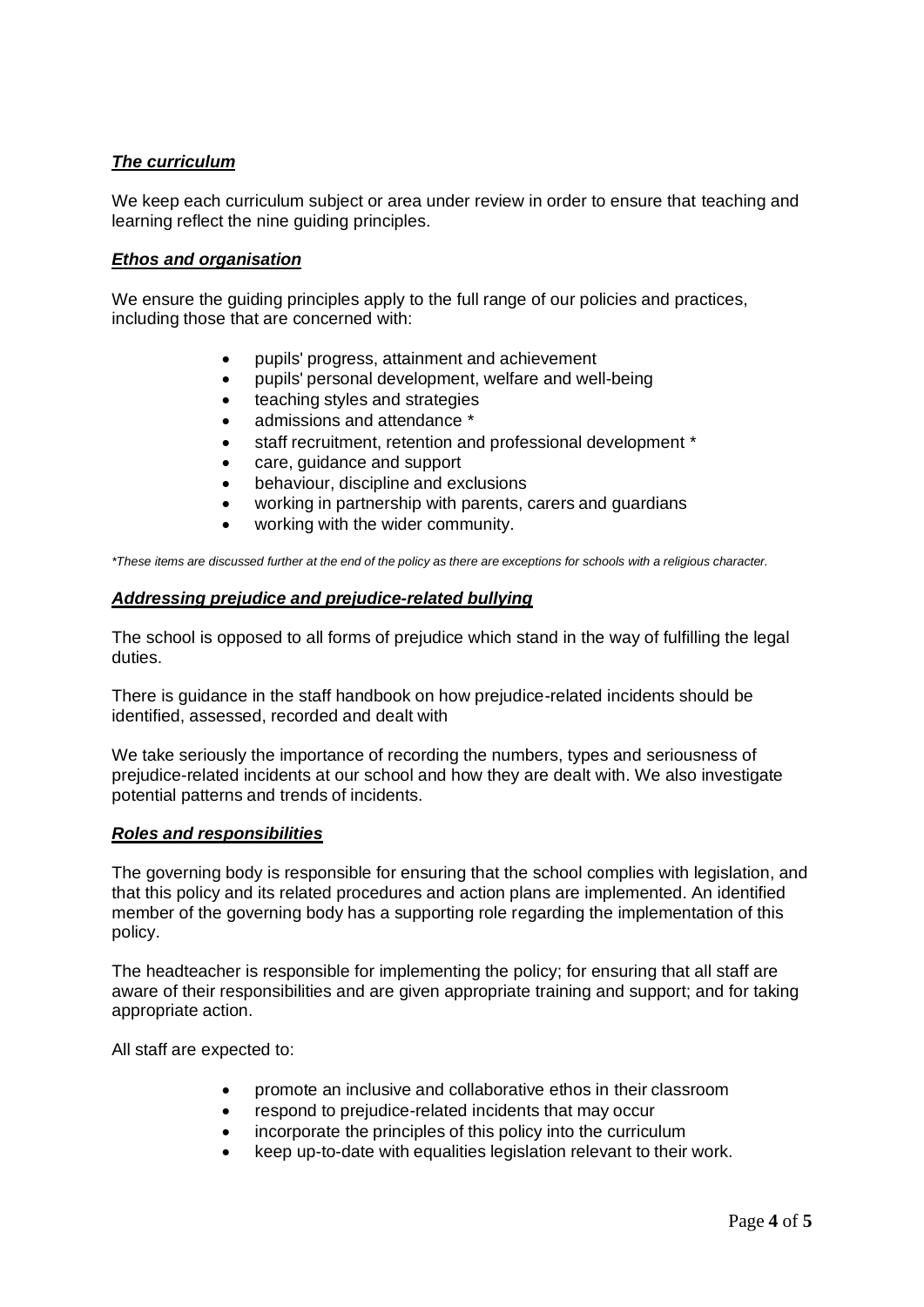# *The curriculum*

We keep each curriculum subject or area under review in order to ensure that teaching and learning reflect the nine guiding principles.

# *Ethos and organisation*

We ensure the guiding principles apply to the full range of our policies and practices, including those that are concerned with:

- pupils' progress, attainment and achievement
- pupils' personal development, welfare and well-being
- teaching styles and strategies
- admissions and attendance \*
- staff recruitment, retention and professional development \*
- care, guidance and support
- behaviour, discipline and exclusions
- working in partnership with parents, carers and guardians
- working with the wider community.

\*These items are discussed further at the end of the policy as there are exceptions for schools with a religious character.

## *Addressing prejudice and prejudice-related bullying*

The school is opposed to all forms of prejudice which stand in the way of fulfilling the legal duties.

There is guidance in the staff handbook on how prejudice-related incidents should be identified, assessed, recorded and dealt with

We take seriously the importance of recording the numbers, types and seriousness of prejudice-related incidents at our school and how they are dealt with. We also investigate potential patterns and trends of incidents.

## *Roles and responsibilities*

The governing body is responsible for ensuring that the school complies with legislation, and that this policy and its related procedures and action plans are implemented. An identified member of the governing body has a supporting role regarding the implementation of this policy.

The headteacher is responsible for implementing the policy; for ensuring that all staff are aware of their responsibilities and are given appropriate training and support; and for taking appropriate action.

All staff are expected to:

- promote an inclusive and collaborative ethos in their classroom
- respond to prejudice-related incidents that may occur
- incorporate the principles of this policy into the curriculum
- keep up-to-date with equalities legislation relevant to their work.